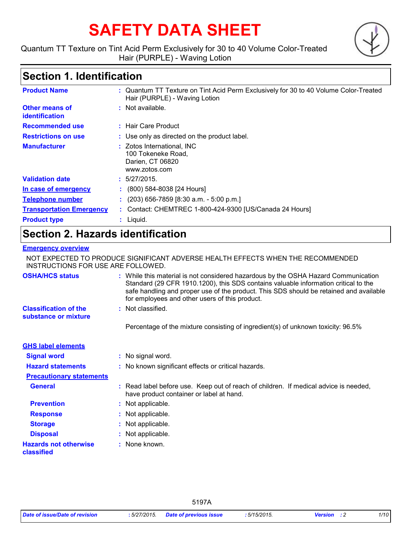# **SAFETY DATA SHEET**

Quantum TT Texture on Tint Acid Perm Exclusively for 30 to 40 Volume Color-Treated Hair (PURPLE) - Waving Lotion

# **Section 1. Identification**

| <b>Product Name</b>                     | : Quantum TT Texture on Tint Acid Perm Exclusively for 30 to 40 Volume Color-Treated<br>Hair (PURPLE) - Waving Lotion |
|-----------------------------------------|-----------------------------------------------------------------------------------------------------------------------|
| <b>Other means of</b><br>identification | $:$ Not available.                                                                                                    |
| <b>Recommended use</b>                  | : Hair Care Product                                                                                                   |
| <b>Restrictions on use</b>              | : Use only as directed on the product label.                                                                          |
| <b>Manufacturer</b>                     | : Zotos International, INC<br>100 Tokeneke Road,<br>Darien, CT 06820<br>www.zotos.com                                 |
| <b>Validation date</b>                  | : 5/27/2015.                                                                                                          |
| In case of emergency                    | $\colon$ (800) 584-8038 [24 Hours]                                                                                    |
| <b>Telephone number</b>                 | $(203)$ 656-7859 [8:30 a.m. - 5:00 p.m.]                                                                              |
| <b>Transportation Emergency</b>         | : Contact: CHEMTREC 1-800-424-9300 [US/Canada 24 Hours]                                                               |
| <b>Product type</b>                     | $:$ Liquid.                                                                                                           |

# **Section 2. Hazards identification**

# **Emergency overview**

NOT EXPECTED TO PRODUCE SIGNIFICANT ADVERSE HEALTH EFFECTS WHEN THE RECOMMENDED INSTRUCTIONS FOR USE ARE FOLLOWED.

| <b>OSHA/HCS status</b>                               | : While this material is not considered hazardous by the OSHA Hazard Communication<br>Standard (29 CFR 1910.1200), this SDS contains valuable information critical to the<br>safe handling and proper use of the product. This SDS should be retained and available<br>for employees and other users of this product. |
|------------------------------------------------------|-----------------------------------------------------------------------------------------------------------------------------------------------------------------------------------------------------------------------------------------------------------------------------------------------------------------------|
| <b>Classification of the</b><br>substance or mixture | : Not classified.                                                                                                                                                                                                                                                                                                     |
|                                                      | Percentage of the mixture consisting of ingredient(s) of unknown toxicity: 96.5%                                                                                                                                                                                                                                      |
| <b>GHS label elements</b>                            |                                                                                                                                                                                                                                                                                                                       |
| <b>Signal word</b>                                   | : No signal word.                                                                                                                                                                                                                                                                                                     |
| <b>Hazard statements</b>                             | : No known significant effects or critical hazards.                                                                                                                                                                                                                                                                   |
| <b>Precautionary statements</b>                      |                                                                                                                                                                                                                                                                                                                       |
| <b>General</b>                                       | : Read label before use. Keep out of reach of children. If medical advice is needed,<br>have product container or label at hand.                                                                                                                                                                                      |
| <b>Prevention</b>                                    | : Not applicable.                                                                                                                                                                                                                                                                                                     |
| <b>Response</b>                                      | : Not applicable.                                                                                                                                                                                                                                                                                                     |
| <b>Storage</b>                                       | : Not applicable.                                                                                                                                                                                                                                                                                                     |
| <b>Disposal</b>                                      | : Not applicable.                                                                                                                                                                                                                                                                                                     |
| <b>Hazards not otherwise</b><br>classified           | : None known.                                                                                                                                                                                                                                                                                                         |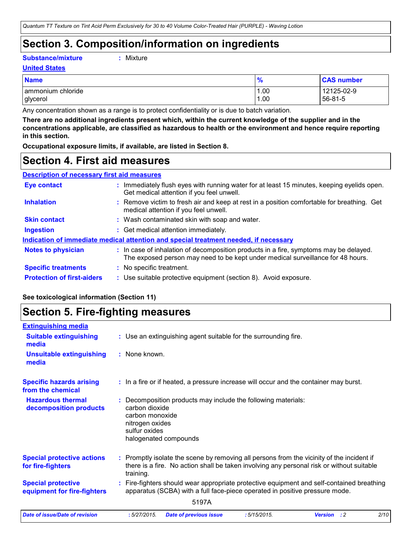# **Section 3. Composition/information on ingredients**

**Substance/mixture :**

| Mixture |
|---------|
|---------|

# **United States**

| <b>Name</b>       | %    | <b>CAS number</b> |
|-------------------|------|-------------------|
| ammonium chloride | 1.00 | 12125-02-9        |
| glycerol          | 1.00 | 56-81-5           |

Any concentration shown as a range is to protect confidentiality or is due to batch variation.

**There are no additional ingredients present which, within the current knowledge of the supplier and in the concentrations applicable, are classified as hazardous to health or the environment and hence require reporting in this section.**

**Occupational exposure limits, if available, are listed in Section 8.**

# **Section 4. First aid measures**

# **Description of necessary first aid measures**

| <b>Eye contact</b>                | : Immediately flush eyes with running water for at least 15 minutes, keeping eyelids open.<br>Get medical attention if you feel unwell.                                  |
|-----------------------------------|--------------------------------------------------------------------------------------------------------------------------------------------------------------------------|
| <b>Inhalation</b>                 | : Remove victim to fresh air and keep at rest in a position comfortable for breathing. Get<br>medical attention if you feel unwell.                                      |
| <b>Skin contact</b>               | : Wash contaminated skin with soap and water.                                                                                                                            |
| <b>Ingestion</b>                  | : Get medical attention immediately.                                                                                                                                     |
|                                   | Indication of immediate medical attention and special treatment needed, if necessary                                                                                     |
| <b>Notes to physician</b>         | : In case of inhalation of decomposition products in a fire, symptoms may be delayed.<br>The exposed person may need to be kept under medical surveillance for 48 hours. |
| <b>Specific treatments</b>        | : No specific treatment.                                                                                                                                                 |
| <b>Protection of first-aiders</b> | : Use suitable protective equipment (section 8). Avoid exposure.                                                                                                         |

# **See toxicological information (Section 11)**

# **Section 5. Fire-fighting measures**

| <b>Extinguishing media</b>                               |                                                                                                                                                                                                     |
|----------------------------------------------------------|-----------------------------------------------------------------------------------------------------------------------------------------------------------------------------------------------------|
| <b>Suitable extinguishing</b><br>media                   | : Use an extinguishing agent suitable for the surrounding fire.                                                                                                                                     |
| <b>Unsuitable extinguishing</b><br>media                 | : None known.                                                                                                                                                                                       |
| <b>Specific hazards arising</b><br>from the chemical     | : In a fire or if heated, a pressure increase will occur and the container may burst.                                                                                                               |
| <b>Hazardous thermal</b><br>decomposition products       | Decomposition products may include the following materials:<br>carbon dioxide<br>carbon monoxide<br>nitrogen oxides<br>sulfur oxides<br>halogenated compounds                                       |
| <b>Special protective actions</b><br>for fire-fighters   | : Promptly isolate the scene by removing all persons from the vicinity of the incident if<br>there is a fire. No action shall be taken involving any personal risk or without suitable<br>training. |
| <b>Special protective</b><br>equipment for fire-fighters | : Fire-fighters should wear appropriate protective equipment and self-contained breathing<br>apparatus (SCBA) with a full face-piece operated in positive pressure mode.                            |
|                                                          | 5197A                                                                                                                                                                                               |
| <b>Date of issue/Date of revision</b>                    | 2/10<br>:5/27/2015.<br>: 5/15/2015.<br><b>Version</b> : 2<br><b>Date of previous issue</b>                                                                                                          |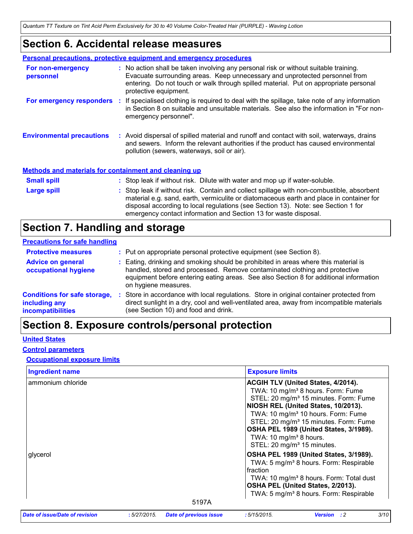# **Section 6. Accidental release measures**

|                                                              | <b>Personal precautions, protective equipment and emergency procedures</b>                                                                                                                                                                                                                                                                    |
|--------------------------------------------------------------|-----------------------------------------------------------------------------------------------------------------------------------------------------------------------------------------------------------------------------------------------------------------------------------------------------------------------------------------------|
| For non-emergency<br>personnel                               | : No action shall be taken involving any personal risk or without suitable training.<br>Evacuate surrounding areas. Keep unnecessary and unprotected personnel from<br>entering. Do not touch or walk through spilled material. Put on appropriate personal<br>protective equipment.                                                          |
|                                                              | For emergency responders : If specialised clothing is required to deal with the spillage, take note of any information<br>in Section 8 on suitable and unsuitable materials. See also the information in "For non-<br>emergency personnel".                                                                                                   |
| <b>Environmental precautions</b>                             | : Avoid dispersal of spilled material and runoff and contact with soil, waterways, drains<br>and sewers. Inform the relevant authorities if the product has caused environmental<br>pollution (sewers, waterways, soil or air).                                                                                                               |
| <b>Methods and materials for containment and cleaning up</b> |                                                                                                                                                                                                                                                                                                                                               |
| <b>Small spill</b>                                           | : Stop leak if without risk. Dilute with water and mop up if water-soluble.                                                                                                                                                                                                                                                                   |
| Large spill                                                  | : Stop leak if without risk. Contain and collect spillage with non-combustible, absorbent<br>material e.g. sand, earth, vermiculite or diatomaceous earth and place in container for<br>disposal according to local regulations (see Section 13). Note: see Section 1 for<br>emergency contact information and Section 13 for waste disposal. |

# **Section 7. Handling and storage**

### **Precautions for safe handling**

| <b>Protective measures</b>                                                       | : Put on appropriate personal protective equipment (see Section 8).                                                                                                                                                                                                                |
|----------------------------------------------------------------------------------|------------------------------------------------------------------------------------------------------------------------------------------------------------------------------------------------------------------------------------------------------------------------------------|
| <b>Advice on general</b><br>occupational hygiene                                 | : Eating, drinking and smoking should be prohibited in areas where this material is<br>handled, stored and processed. Remove contaminated clothing and protective<br>equipment before entering eating areas. See also Section 8 for additional information<br>on hygiene measures. |
| <b>Conditions for safe storage,</b><br>including any<br><b>incompatibilities</b> | Store in accordance with local regulations. Store in original container protected from<br>direct sunlight in a dry, cool and well-ventilated area, away from incompatible materials<br>(see Section 10) and food and drink.                                                        |

# **Section 8. Exposure controls/personal protection**

### **United States**

### **Control parameters**

# **Occupational exposure limits**

| <b>Ingredient name</b>         |             |                               | <b>Exposure limits</b>                 |                                                     |      |
|--------------------------------|-------------|-------------------------------|----------------------------------------|-----------------------------------------------------|------|
| ammonium chloride              |             |                               |                                        | <b>ACGIH TLV (United States, 4/2014).</b>           |      |
|                                |             |                               |                                        | TWA: 10 mg/m <sup>3</sup> 8 hours. Form: Fume       |      |
|                                |             |                               |                                        | STEL: 20 mg/m <sup>3</sup> 15 minutes. Form: Fume   |      |
|                                |             |                               |                                        | NIOSH REL (United States, 10/2013).                 |      |
|                                |             |                               |                                        | TWA: 10 mg/m <sup>3</sup> 10 hours. Form: Fume      |      |
|                                |             |                               |                                        | STEL: 20 mg/m <sup>3</sup> 15 minutes. Form: Fume   |      |
|                                |             |                               |                                        | OSHA PEL 1989 (United States, 3/1989).              |      |
|                                |             |                               | TWA: 10 mg/m <sup>3</sup> 8 hours.     |                                                     |      |
|                                |             |                               | STEL: 20 mg/m <sup>3</sup> 15 minutes. |                                                     |      |
| glycerol                       |             |                               |                                        | OSHA PEL 1989 (United States, 3/1989).              |      |
|                                |             |                               |                                        | TWA: 5 mg/m <sup>3</sup> 8 hours. Form: Respirable  |      |
|                                |             |                               | fraction                               |                                                     |      |
|                                |             |                               |                                        | TWA: 10 mg/m <sup>3</sup> 8 hours. Form: Total dust |      |
|                                |             |                               |                                        | OSHA PEL (United States, 2/2013).                   |      |
|                                |             |                               |                                        | TWA: 5 mg/m <sup>3</sup> 8 hours. Form: Respirable  |      |
|                                |             | 5197A                         |                                        |                                                     |      |
| Date of issue/Date of revision | :5/27/2015. | <b>Date of previous issue</b> | :5/15/2015.                            | <b>Version</b> : 2                                  | 3/10 |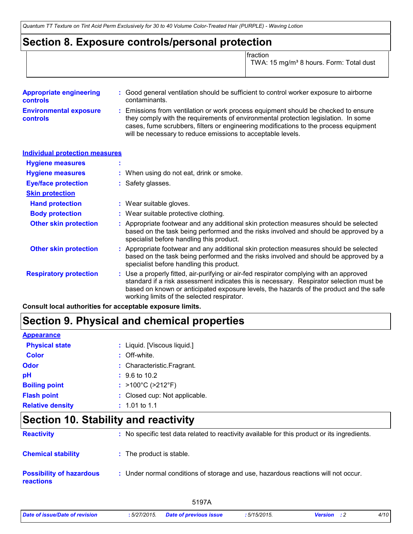# **Section 8. Exposure controls/personal protection**

| <b>fraction</b>                                     |
|-----------------------------------------------------|
| TWA: 15 mg/m <sup>3</sup> 8 hours. Form: Total dust |

| <b>Appropriate engineering</b><br><b>controls</b> | : Good general ventilation should be sufficient to control worker exposure to airborne<br>contaminants.                                                                                                                                                                                                                         |
|---------------------------------------------------|---------------------------------------------------------------------------------------------------------------------------------------------------------------------------------------------------------------------------------------------------------------------------------------------------------------------------------|
| <b>Environmental exposure</b><br><b>controls</b>  | : Emissions from ventilation or work process equipment should be checked to ensure<br>they comply with the requirements of environmental protection legislation. In some<br>cases, fume scrubbers, filters or engineering modifications to the process equipment<br>will be necessary to reduce emissions to acceptable levels. |

| <b>Individual protection measures</b> |                                                                                                                                                                                                                                                                                                                            |
|---------------------------------------|----------------------------------------------------------------------------------------------------------------------------------------------------------------------------------------------------------------------------------------------------------------------------------------------------------------------------|
| <b>Hygiene measures</b>               |                                                                                                                                                                                                                                                                                                                            |
| <b>Hygiene measures</b>               | : When using do not eat, drink or smoke.                                                                                                                                                                                                                                                                                   |
| <b>Eye/face protection</b>            | : Safety glasses.                                                                                                                                                                                                                                                                                                          |
| <b>Skin protection</b>                |                                                                                                                                                                                                                                                                                                                            |
| <b>Hand protection</b>                | : Wear suitable gloves.                                                                                                                                                                                                                                                                                                    |
| <b>Body protection</b>                | : Wear suitable protective clothing.                                                                                                                                                                                                                                                                                       |
| <b>Other skin protection</b>          | : Appropriate footwear and any additional skin protection measures should be selected<br>based on the task being performed and the risks involved and should be approved by a<br>specialist before handling this product.                                                                                                  |
| <b>Other skin protection</b>          | : Appropriate footwear and any additional skin protection measures should be selected<br>based on the task being performed and the risks involved and should be approved by a<br>specialist before handling this product.                                                                                                  |
| <b>Respiratory protection</b>         | : Use a properly fitted, air-purifying or air-fed respirator complying with an approved<br>standard if a risk assessment indicates this is necessary. Respirator selection must be<br>based on known or anticipated exposure levels, the hazards of the product and the safe<br>working limits of the selected respirator. |

**Consult local authorities for acceptable exposure limits.**

# **Section 9. Physical and chemical properties**

| <b>Appearance</b>       |                                        |
|-------------------------|----------------------------------------|
| <b>Physical state</b>   | : Liquid. [Viscous liquid.]            |
| <b>Color</b>            | $:$ Off-white.                         |
| Odor                    | : Characteristic.Fragrant.             |
| рH                      | $: 9.6 \text{ to } 10.2$               |
| <b>Boiling point</b>    | : $>100^{\circ}$ C ( $>212^{\circ}$ F) |
| <b>Flash point</b>      | : Closed cup: Not applicable.          |
| <b>Relative density</b> | $: 1.01$ to 1.1                        |

# **Section 10. Stability and reactivity**

| <b>Reactivity</b>                                   | : No specific test data related to reactivity available for this product or its ingredients. |
|-----------------------------------------------------|----------------------------------------------------------------------------------------------|
| <b>Chemical stability</b>                           | : The product is stable.                                                                     |
| <b>Possibility of hazardous</b><br><b>reactions</b> | : Under normal conditions of storage and use, hazardous reactions will not occur.            |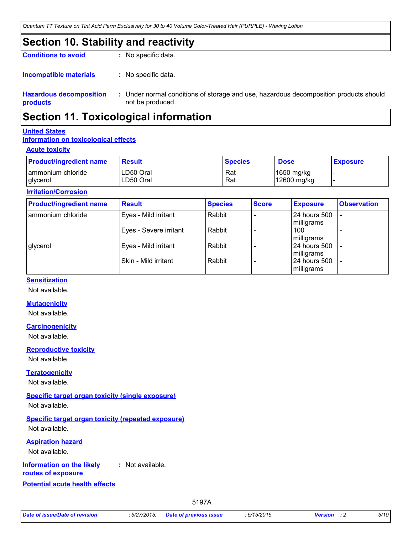# **Section 10. Stability and reactivity**

**Conditions to avoid** : No specific data.

: No specific data. **Incompatible materials :**

**Hazardous decomposition products** Under normal conditions of storage and use, hazardous decomposition products should **:** not be produced.

# **Section 11. Toxicological information**

### **United States**

# **Information on toxicological effects**

### **Acute toxicity**

| <b>Product/ingredient name</b> | <b>Result</b> | <b>Species</b> | <b>Dose</b> | <b>Exposure</b> |
|--------------------------------|---------------|----------------|-------------|-----------------|
| ammonium chloride              | ILD50 Oral    | Rat            | 1650 mg/kg  |                 |
| glycerol                       | LD50 Oral     | Rat            | 12600 mg/kg |                 |

### **Irritation/Corrosion**

| <b>Product/ingredient name</b> | <b>Result</b>          | <b>Species</b> | <b>Score</b> | <b>Exposure</b>                 | <b>Observation</b>       |
|--------------------------------|------------------------|----------------|--------------|---------------------------------|--------------------------|
| ammonium chloride              | Eyes - Mild irritant   | Rabbit         |              | 24 hours 500                    |                          |
|                                | Eyes - Severe irritant | Rabbit         |              | milligrams<br>100<br>milligrams |                          |
| glycerol                       | Eyes - Mild irritant   | Rabbit         |              | 24 hours 500<br>milligrams      | $\overline{\phantom{0}}$ |
|                                | ISkin - Mild irritant  | Rabbit         |              | 24 hours 500<br>milligrams      |                          |

### **Sensitization**

Not available.

### **Mutagenicity**

Not available.

### **Carcinogenicity**

Not available.

**Reproductive toxicity** Not available.

### **Teratogenicity**

Not available.

# **Specific target organ toxicity (single exposure)**

Not available.

**Specific target organ toxicity (repeated exposure)** Not available.

### **Aspiration hazard**

Not available.

#### **Information on the likely :** Not available.

**routes of exposure**

# **Potential acute health effects**

5197A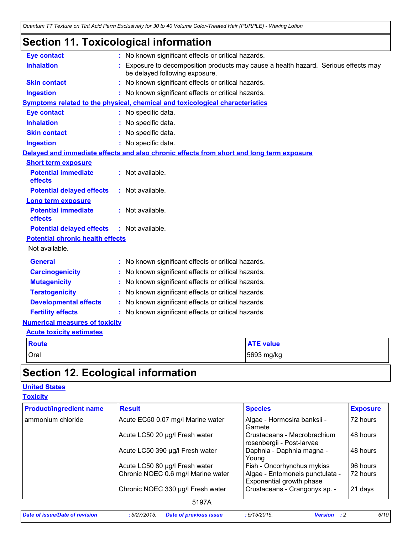# **Section 11. Toxicological information**

| <b>Eye contact</b>                      | : No known significant effects or critical hazards.                                                                 |  |  |  |
|-----------------------------------------|---------------------------------------------------------------------------------------------------------------------|--|--|--|
| <b>Inhalation</b>                       | Exposure to decomposition products may cause a health hazard. Serious effects may<br>be delayed following exposure. |  |  |  |
| <b>Skin contact</b>                     | No known significant effects or critical hazards.                                                                   |  |  |  |
| <b>Ingestion</b>                        | No known significant effects or critical hazards.                                                                   |  |  |  |
|                                         | Symptoms related to the physical, chemical and toxicological characteristics                                        |  |  |  |
| <b>Eye contact</b>                      | : No specific data.                                                                                                 |  |  |  |
| <b>Inhalation</b>                       | No specific data.                                                                                                   |  |  |  |
| <b>Skin contact</b>                     | No specific data.                                                                                                   |  |  |  |
| <b>Ingestion</b>                        | No specific data.                                                                                                   |  |  |  |
|                                         | Delayed and immediate effects and also chronic effects from short and long term exposure                            |  |  |  |
| <b>Short term exposure</b>              |                                                                                                                     |  |  |  |
| <b>Potential immediate</b><br>effects   | : Not available.                                                                                                    |  |  |  |
| <b>Potential delayed effects</b>        | : Not available.                                                                                                    |  |  |  |
| Long term exposure                      |                                                                                                                     |  |  |  |
| <b>Potential immediate</b><br>effects   | : Not available.                                                                                                    |  |  |  |
| <b>Potential delayed effects</b>        | : Not available.                                                                                                    |  |  |  |
| <b>Potential chronic health effects</b> |                                                                                                                     |  |  |  |
| Not available.                          |                                                                                                                     |  |  |  |
| <b>General</b>                          | No known significant effects or critical hazards.                                                                   |  |  |  |
| <b>Carcinogenicity</b>                  | No known significant effects or critical hazards.                                                                   |  |  |  |
| <b>Mutagenicity</b>                     | No known significant effects or critical hazards.                                                                   |  |  |  |
| <b>Teratogenicity</b>                   | No known significant effects or critical hazards.                                                                   |  |  |  |
| <b>Developmental effects</b>            | No known significant effects or critical hazards.                                                                   |  |  |  |
| <b>Fertility effects</b>                | No known significant effects or critical hazards.                                                                   |  |  |  |
| <b>Numerical measures of toxicity</b>   |                                                                                                                     |  |  |  |
| <b>Acute toxicity estimates</b>         |                                                                                                                     |  |  |  |
| <b>Route</b>                            | <b>ATE value</b>                                                                                                    |  |  |  |
| Oral                                    | 5693 mg/kg                                                                                                          |  |  |  |

# **Section 12. Ecological information**

# **United States**

**Toxicity**

| <b>Product/ingredient name</b> | <b>Result</b>                      | <b>Species</b>                                              | <b>Exposure</b> |
|--------------------------------|------------------------------------|-------------------------------------------------------------|-----------------|
| ammonium chloride              | Acute EC50 0.07 mg/l Marine water  | Algae - Hormosira banksii -<br>Gamete                       | 72 hours        |
|                                | Acute LC50 20 µg/l Fresh water     | Crustaceans - Macrobrachium<br>rosenbergii - Post-larvae    | 48 hours        |
|                                | Acute LC50 390 µg/l Fresh water    | Daphnia - Daphnia magna -<br>Young                          | 48 hours        |
|                                | Acute LC50 80 µg/l Fresh water     | Fish - Oncorhynchus mykiss                                  | 96 hours        |
|                                | Chronic NOEC 0.6 mg/l Marine water | Algae - Entomoneis punctulata -<br>Exponential growth phase | 72 hours        |
|                                | Chronic NOEC 330 µg/l Fresh water  | Crustaceans - Crangonyx sp. -                               | 21 days         |
|                                | 5197A                              |                                                             |                 |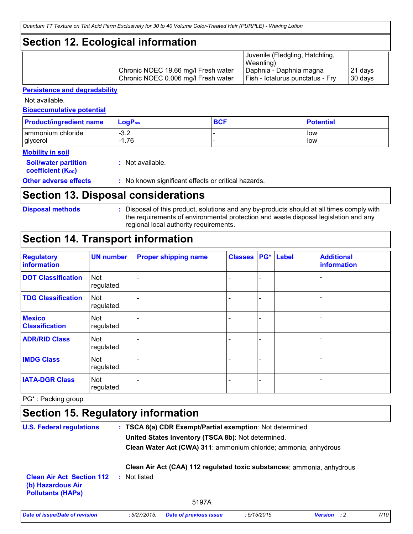# **Section 12. Ecological information**

|                                     | Juvenile (Fledgling, Hatchling,<br>Weanling) |         |
|-------------------------------------|----------------------------------------------|---------|
| Chronic NOEC 19.66 mg/l Fresh water | Daphnia - Daphnia magna                      | 21 days |
| Chronic NOEC 0.006 mg/l Fresh water | <b>Fish - Ictalurus punctatus - Fry</b>      | 30 days |

### **Persistence and degradability**

Not available.

**Bioaccumulative potential**

| <b>Product/ingredient name</b> | $\mathsf{LogP}_\mathsf{ow}$ | <b>BCF</b> | <b>Potential</b> |
|--------------------------------|-----------------------------|------------|------------------|
| ammonium chloride              | $-3.2$                      |            | low              |
| glycerol                       | 1.76                        |            | low              |

### **Mobility in soil**

| <b>Soil/water partition</b><br>coefficient (K <sub>oc</sub> ) | : Not available.                                    |
|---------------------------------------------------------------|-----------------------------------------------------|
| <b>Other adverse effects</b>                                  | : No known significant effects or critical hazards. |

# **Section 13. Disposal considerations**

```
Disposal methods :
```
Disposal of this product, solutions and any by-products should at all times comply with the requirements of environmental protection and waste disposal legislation and any regional local authority requirements.

# **Section 14. Transport information**

| <b>Regulatory</b><br>information       | <b>UN number</b>         | <b>Proper shipping name</b> | <b>Classes   PG*   Label</b> |                              | <b>Additional</b><br>information |
|----------------------------------------|--------------------------|-----------------------------|------------------------------|------------------------------|----------------------------------|
| <b>DOT Classification</b>              | <b>Not</b><br>regulated. |                             |                              | $\overline{\phantom{0}}$     |                                  |
| <b>TDG Classification</b>              | <b>Not</b><br>regulated. |                             |                              | $\overline{\phantom{0}}$     |                                  |
| <b>Mexico</b><br><b>Classification</b> | <b>Not</b><br>regulated. |                             | -                            | $\qquad \qquad \blacksquare$ |                                  |
| <b>ADR/RID Class</b>                   | <b>Not</b><br>regulated. |                             |                              | $\qquad \qquad \blacksquare$ |                                  |
| <b>IMDG Class</b>                      | <b>Not</b><br>regulated. |                             |                              | $\overline{\phantom{0}}$     |                                  |
| <b>IATA-DGR Class</b>                  | <b>Not</b><br>regulated. |                             |                              |                              |                                  |

PG\* : Packing group

# **Section 15. Regulatory information**

| <b>U.S. Federal regulations</b>                                                   | : TSCA 8(a) CDR Exempt/Partial exemption: Not determined               |
|-----------------------------------------------------------------------------------|------------------------------------------------------------------------|
|                                                                                   | United States inventory (TSCA 8b): Not determined.                     |
|                                                                                   | Clean Water Act (CWA) 311: ammonium chloride; ammonia, anhydrous       |
|                                                                                   | Clean Air Act (CAA) 112 regulated toxic substances: ammonia, anhydrous |
| <b>Clean Air Act Section 112</b><br>(b) Hazardous Air<br><b>Pollutants (HAPS)</b> | Not listed<br>Æ.                                                       |
|                                                                                   | 5197A                                                                  |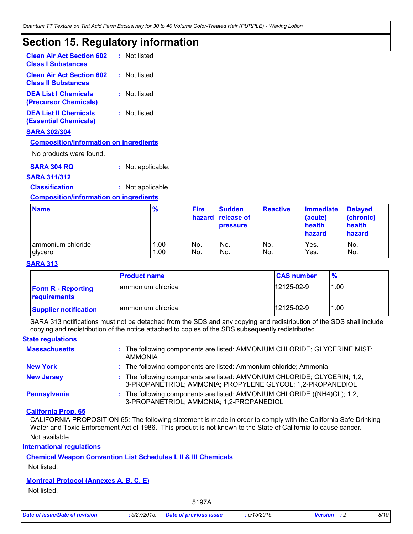# **Section 15. Regulatory information**

| <b>Clean Air Act Section 602 : Not listed</b><br><b>Class I Substances</b> |              |
|----------------------------------------------------------------------------|--------------|
| <b>Clean Air Act Section 602</b><br><b>Class II Substances</b>             | : Not listed |
| <b>DEA List I Chemicals</b><br>(Precursor Chemicals)                       | : Not listed |
| <b>DEA List II Chemicals</b><br>(Essential Chemicals)                      | : Not listed |

### **SARA 302/304**

### **Composition/information on ingredients**

No products were found.

**SARA 304 RQ :** Not applicable.

### **SARA 311/312**

**Classification :** Not applicable.

### **Composition/information on ingredients**

| <b>Name</b>       | $\frac{9}{6}$ | <b>Fire</b> | <b>Sudden</b><br><b>hazard</b> release of<br><b>pressure</b> | <b>Reactive</b> | <b>Immediate</b><br>(acute)<br>health<br>hazard | <b>Delayed</b><br>(chronic)<br>health<br>hazard |
|-------------------|---------------|-------------|--------------------------------------------------------------|-----------------|-------------------------------------------------|-------------------------------------------------|
| ammonium chloride | 1.00          | No.         | No.                                                          | IN <sub>o</sub> | Yes.                                            | No.                                             |
| glycerol          | 1.00          | No.         | No.                                                          | No.             | Yes.                                            | No.                                             |

### **SARA 313**

|                                           | <b>Product name</b> | <b>CAS number</b> | $\frac{9}{6}$ |
|-------------------------------------------|---------------------|-------------------|---------------|
| <b>Form R - Reporting</b><br>requirements | I ammonium chloride | 12125-02-9        | 1.00          |
| <b>Supplier notification</b>              | ammonium chloride   | 12125-02-9        | 1.00          |

SARA 313 notifications must not be detached from the SDS and any copying and redistribution of the SDS shall include copying and redistribution of the notice attached to copies of the SDS subsequently redistributed.

### **State regulations**

| <b>Massachusetts</b> | : The following components are listed: AMMONIUM CHLORIDE; GLYCERINE MIST;<br><b>AMMONIA</b>                                            |
|----------------------|----------------------------------------------------------------------------------------------------------------------------------------|
| <b>New York</b>      | : The following components are listed: Ammonium chloride; Ammonia                                                                      |
| <b>New Jersey</b>    | : The following components are listed: AMMONIUM CHLORIDE; GLYCERIN; 1,2,<br>3-PROPANETRIOL; AMMONIA; PROPYLENE GLYCOL; 1,2-PROPANEDIOL |
| Pennsylvania         | : The following components are listed: AMMONIUM CHLORIDE ((NH4)CL); 1,2,<br>3-PROPANETRIOL; AMMONIA; 1,2-PROPANEDIOL                   |

### **California Prop. 65**

Not available. CALIFORNIA PROPOSITION 65: The following statement is made in order to comply with the California Safe Drinking Water and Toxic Enforcement Act of 1986. This product is not known to the State of California to cause cancer.

**International regulations**

## **Chemical Weapon Convention List Schedules I, II & III Chemicals**

Not listed.

### **Montreal Protocol (Annexes A, B, C, E)**

Not listed.

5197A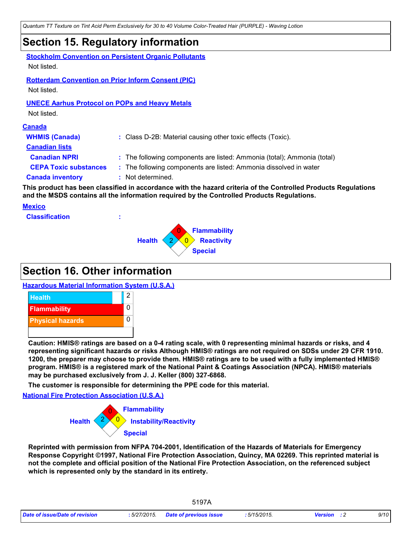# **Section 15. Regulatory information**

| Not listed.                                                              | <b>Stockholm Convention on Persistent Organic Pollutants</b>                                                                                                                                                 |
|--------------------------------------------------------------------------|--------------------------------------------------------------------------------------------------------------------------------------------------------------------------------------------------------------|
| <b>Rotterdam Convention on Prior Inform Consent (PIC)</b><br>Not listed. |                                                                                                                                                                                                              |
| <b>UNECE Aarhus Protocol on POPs and Heavy Metals</b><br>Not listed.     |                                                                                                                                                                                                              |
| <b>Canada</b>                                                            |                                                                                                                                                                                                              |
| <b>WHMIS (Canada)</b>                                                    | : Class D-2B: Material causing other toxic effects (Toxic).                                                                                                                                                  |
| <b>Canadian lists</b>                                                    |                                                                                                                                                                                                              |
| <b>Canadian NPRI</b>                                                     | : The following components are listed: Ammonia (total); Ammonia (total)                                                                                                                                      |
| <b>CEPA Toxic substances</b>                                             | : The following components are listed: Ammonia dissolved in water                                                                                                                                            |
| <b>Canada inventory</b>                                                  | : Not determined.                                                                                                                                                                                            |
|                                                                          | This product has been classified in accordance with the hazard criteria of the Controlled Products Regulations<br>and the MSDS contains all the information required by the Controlled Products Regulations. |

### **Mexico**

**Classification :**



# **Section 16. Other information**

# **Hazardous Material Information System (U.S.A.)**



**Caution: HMIS® ratings are based on a 0-4 rating scale, with 0 representing minimal hazards or risks, and 4 representing significant hazards or risks Although HMIS® ratings are not required on SDSs under 29 CFR 1910. 1200, the preparer may choose to provide them. HMIS® ratings are to be used with a fully implemented HMIS® program. HMIS® is a registered mark of the National Paint & Coatings Association (NPCA). HMIS® materials may be purchased exclusively from J. J. Keller (800) 327-6868.**

**The customer is responsible for determining the PPE code for this material.**

**National Fire Protection Association (U.S.A.)**



**Reprinted with permission from NFPA 704-2001, Identification of the Hazards of Materials for Emergency Response Copyright ©1997, National Fire Protection Association, Quincy, MA 02269. This reprinted material is not the complete and official position of the National Fire Protection Association, on the referenced subject which is represented only by the standard in its entirety.**